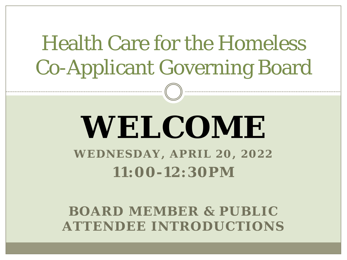## **WELCOME WEDNESDAY, APRIL 20, 2022 11:00-12:30PM**

**BOARD MEMBER & PUBLIC ATTENDEE INTRODUCTIONS**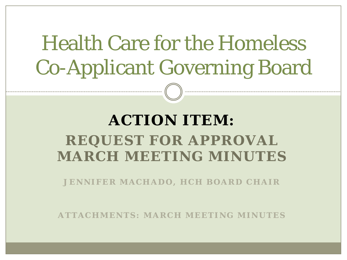#### **ACTION ITEM: REQUEST FOR APPROVAL MARCH MEETING MINUTES**

*JENNIFER MACHADO , HCH BOARD CHAIR*

*ATTACHMENTS: MARCH MEETING MINUTES*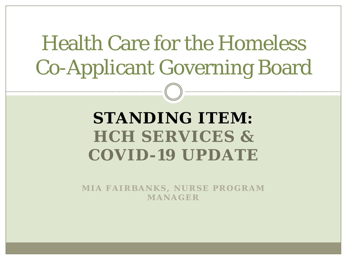### **STANDING ITEM: HCH SERVICES & COVID-19 UPDATE**

*MIA FAIRBANKS, NURSE PROGRAM MANAGER*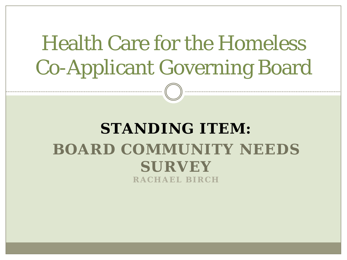#### **STANDING ITEM: BOARD COMMUNITY NEEDS SURVEY**  *RACHAEL BIRCH*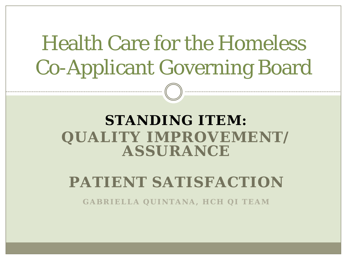#### **STANDING ITEM: QUALITY IMPROVEMENT/ ASSURANCE**

#### **PATIENT SATISFACTION**

*GABRIELLA QUINTANA, HCH QI TEAM*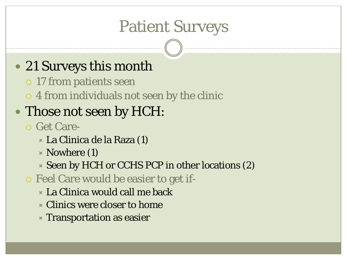## Patient Surveys

#### • 21 Surveys this month

- 17 from patients seen
- 4 from individuals not seen by the clinic

#### • Those not seen by HCH:

- Get Care-
	- La Clinica de la Raza (1)
	- $\times$  Nowhere (1)
	- $\times$  Seen by HCH or CCHS PCP in other locations (2)
- Feel Care would be easier to get if-
	- La Clinica would call me back
	- Clinics were closer to home
	- $\times$  Transportation as easier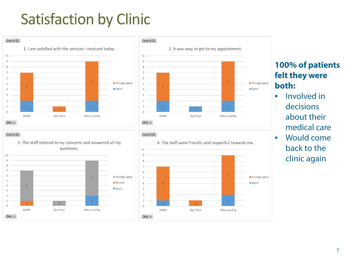### Satisfaction by Clinic



■ Strongly agree

 $-6$ 

 $\vert 1 \vert$ 

**BARM** 

 $\mathbf{1}$ 

Bay Point

 $\mathcal{L}$ 

 $\cap$ 

Clinic  $\star$ 

**Neutral** 

Agree

 $\overline{7}$ 

 $\overline{2}$ 

Delta Landing

 $1$ 

Bay Point

6

 $\sim$  1

**BARM** 

 $\cap$ 

Clinic  $\star$ 

#### **100% of patients felt they were both:**

- Involved in decisions about their medical care
- Would come back to the clinic again

 $\overline{7}$ 

 $\overline{2}$ 

Delta Landing

■ Strongly agree

Agree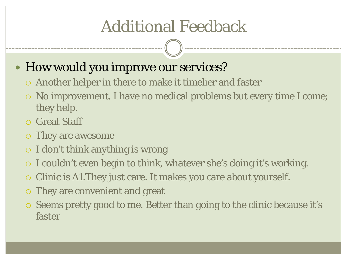## Additional Feedback

#### • How would you improve our services?

- Another helper in there to make it timelier and faster
- No improvement. I have no medical problems but every time I come; they help.
- Great Staff
- They are awesome
- $\circ$  I don't think anything is wrong
- I couldn't even begin to think, whatever she's doing it's working.
- Clinic is A1.They just care. It makes you care about yourself.
- They are convenient and great
- $\circ$  Seems pretty good to me. Better than going to the clinic because it's faster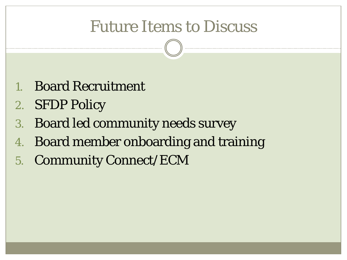### Future Items to Discuss

- 1. Board Recruitment
- 2. SFDP Policy
- 3. Board led community needs survey
- 4. Board member onboarding and training
- 5. Community Connect/ECM